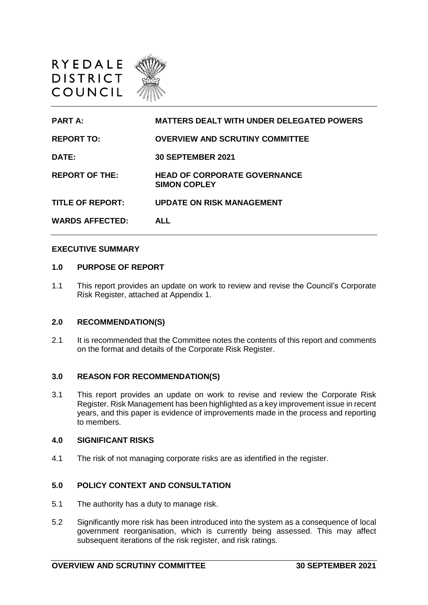

**PART A: MATTERS DEALT WITH UNDER DELEGATED POWERS REPORT TO: OVERVIEW AND SCRUTINY COMMITTEE DATE: 30 SEPTEMBER 2021 REPORT OF THE: HEAD OF CORPORATE GOVERNANCE SIMON COPLEY TITLE OF REPORT: UPDATE ON RISK MANAGEMENT WARDS AFFECTED: ALL** 

### **EXECUTIVE SUMMARY**

### **1.0 PURPOSE OF REPORT**

1.1 This report provides an update on work to review and revise the Council's Corporate Risk Register, attached at Appendix 1.

### **2.0 RECOMMENDATION(S)**

2.1 It is recommended that the Committee notes the contents of this report and comments on the format and details of the Corporate Risk Register.

### **3.0 REASON FOR RECOMMENDATION(S)**

3.1 This report provides an update on work to revise and review the Corporate Risk Register. Risk Management has been highlighted as a key improvement issue in recent years, and this paper is evidence of improvements made in the process and reporting to members.

### **4.0 SIGNIFICANT RISKS**

4.1 The risk of not managing corporate risks are as identified in the register.

## **5.0 POLICY CONTEXT AND CONSULTATION**

- 5.1 The authority has a duty to manage risk.
- 5.2 Significantly more risk has been introduced into the system as a consequence of local government reorganisation, which is currently being assessed. This may affect subsequent iterations of the risk register, and risk ratings.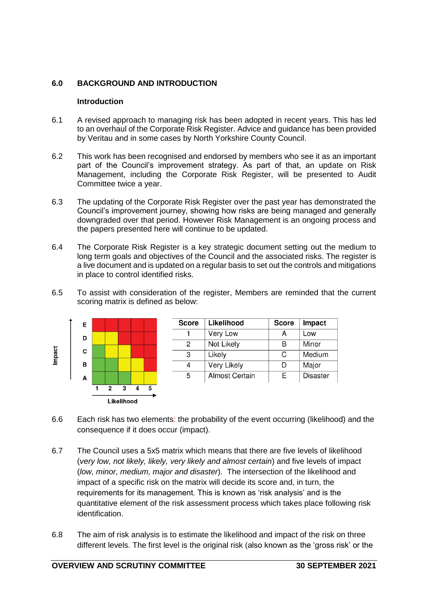# **6.0 BACKGROUND AND INTRODUCTION**

## **Introduction**

- 6.1 A revised approach to managing risk has been adopted in recent years. This has led to an overhaul of the Corporate Risk Register. Advice and guidance has been provided by Veritau and in some cases by North Yorkshire County Council.
- 6.2 This work has been recognised and endorsed by members who see it as an important part of the Council's improvement strategy. As part of that, an update on Risk Management, including the Corporate Risk Register, will be presented to Audit Committee twice a year.
- 6.3 The updating of the Corporate Risk Register over the past year has demonstrated the Council's improvement journey, showing how risks are being managed and generally downgraded over that period. However Risk Management is an ongoing process and the papers presented here will continue to be updated.
- 6.4 The Corporate Risk Register is a key strategic document setting out the medium to long term goals and objectives of the Council and the associated risks. The register is a live document and is updated on a regular basis to set out the controls and mitigations in place to control identified risks.
- 6.5 To assist with consideration of the register, Members are reminded that the current scoring matrix is defined as below:



- 6.6 Each risk has two elements: the probability of the event occurring (likelihood) and the consequence if it does occur (impact).
- 6.7 The Council uses a 5x5 matrix which means that there are five levels of likelihood (*very low, not likely, likely, very likely and almost certain*) and five levels of impact (*low, minor, medium, major and disaster*). The intersection of the likelihood and impact of a specific risk on the matrix will decide its score and, in turn, the requirements for its management. This is known as 'risk analysis' and is the quantitative element of the risk assessment process which takes place following risk identification.
- 6.8 The aim of risk analysis is to estimate the likelihood and impact of the risk on three different levels. The first level is the original risk (also known as the 'gross risk' or the